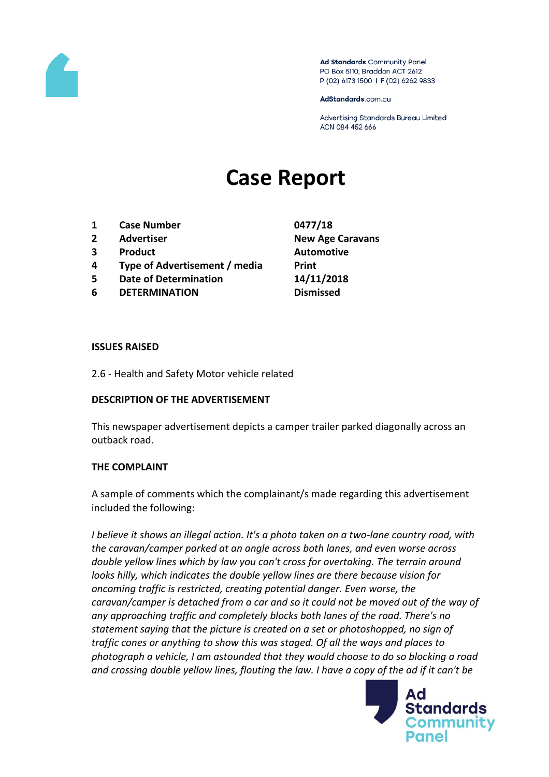

Ad Standards Community Panel PO Box 5110, Braddon ACT 2612 P (02) 6173 1500 | F (02) 6262 9833

AdStandards.com.au

Advertising Standards Bureau Limited ACN 084 452 666

# **Case Report**

- **1 Case Number 0477/18**
- 
- **3 Product Automotive**
- **4 Type of Advertisement / media Print**
- **5 Date of Determination 14/11/2018**
- **6 DETERMINATION Dismissed**

**2 Advertiser New Age Caravans**

#### **ISSUES RAISED**

2.6 - Health and Safety Motor vehicle related

### **DESCRIPTION OF THE ADVERTISEMENT**

This newspaper advertisement depicts a camper trailer parked diagonally across an outback road.

### **THE COMPLAINT**

A sample of comments which the complainant/s made regarding this advertisement included the following:

*I believe it shows an illegal action. It's a photo taken on a two-lane country road, with the caravan/camper parked at an angle across both lanes, and even worse across double yellow lines which by law you can't cross for overtaking. The terrain around looks hilly, which indicates the double yellow lines are there because vision for oncoming traffic is restricted, creating potential danger. Even worse, the caravan/camper is detached from a car and so it could not be moved out of the way of any approaching traffic and completely blocks both lanes of the road. There's no statement saying that the picture is created on a set or photoshopped, no sign of traffic cones or anything to show this was staged. Of all the ways and places to photograph a vehicle, I am astounded that they would choose to do so blocking a road and crossing double yellow lines, flouting the law. I have a copy of the ad if it can't be* 

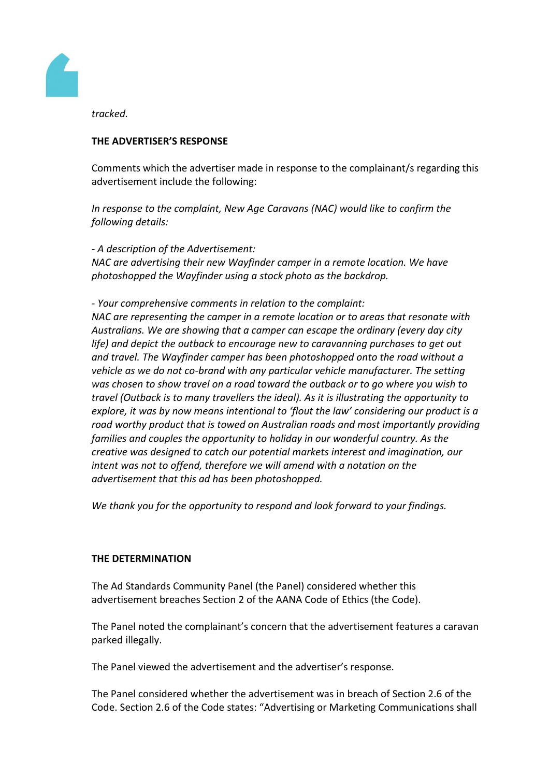

*tracked.*

## **THE ADVERTISER'S RESPONSE**

Comments which the advertiser made in response to the complainant/s regarding this advertisement include the following:

*In response to the complaint, New Age Caravans (NAC) would like to confirm the following details:*

*- A description of the Advertisement: NAC are advertising their new Wayfinder camper in a remote location. We have photoshopped the Wayfinder using a stock photo as the backdrop.*

### *- Your comprehensive comments in relation to the complaint:*

*NAC are representing the camper in a remote location or to areas that resonate with Australians. We are showing that a camper can escape the ordinary (every day city life) and depict the outback to encourage new to caravanning purchases to get out and travel. The Wayfinder camper has been photoshopped onto the road without a vehicle as we do not co-brand with any particular vehicle manufacturer. The setting was chosen to show travel on a road toward the outback or to go where you wish to travel (Outback is to many travellers the ideal). As it is illustrating the opportunity to explore, it was by now means intentional to 'flout the law' considering our product is a road worthy product that is towed on Australian roads and most importantly providing families and couples the opportunity to holiday in our wonderful country. As the creative was designed to catch our potential markets interest and imagination, our intent was not to offend, therefore we will amend with a notation on the advertisement that this ad has been photoshopped.*

*We thank you for the opportunity to respond and look forward to your findings.*

### **THE DETERMINATION**

The Ad Standards Community Panel (the Panel) considered whether this advertisement breaches Section 2 of the AANA Code of Ethics (the Code).

The Panel noted the complainant's concern that the advertisement features a caravan parked illegally.

The Panel viewed the advertisement and the advertiser's response.

The Panel considered whether the advertisement was in breach of Section 2.6 of the Code. Section 2.6 of the Code states: "Advertising or Marketing Communications shall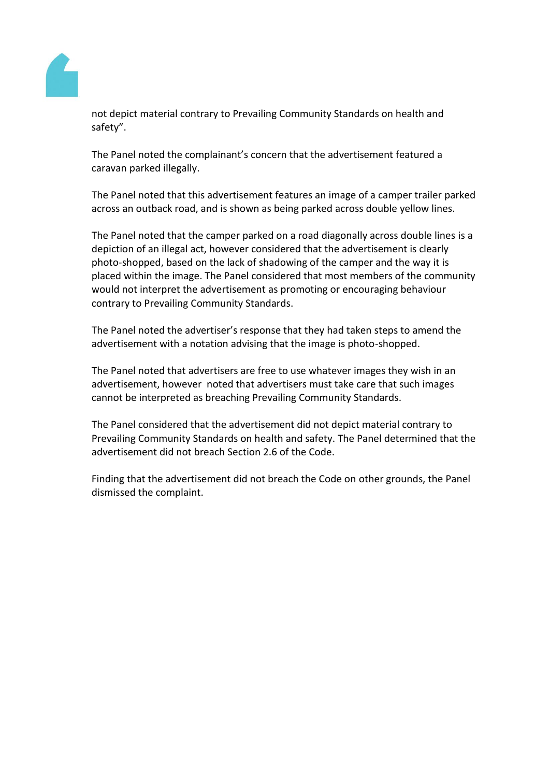

not depict material contrary to Prevailing Community Standards on health and safety".

The Panel noted the complainant's concern that the advertisement featured a caravan parked illegally.

The Panel noted that this advertisement features an image of a camper trailer parked across an outback road, and is shown as being parked across double yellow lines.

The Panel noted that the camper parked on a road diagonally across double lines is a depiction of an illegal act, however considered that the advertisement is clearly photo-shopped, based on the lack of shadowing of the camper and the way it is placed within the image. The Panel considered that most members of the community would not interpret the advertisement as promoting or encouraging behaviour contrary to Prevailing Community Standards.

The Panel noted the advertiser's response that they had taken steps to amend the advertisement with a notation advising that the image is photo-shopped.

The Panel noted that advertisers are free to use whatever images they wish in an advertisement, however noted that advertisers must take care that such images cannot be interpreted as breaching Prevailing Community Standards.

The Panel considered that the advertisement did not depict material contrary to Prevailing Community Standards on health and safety. The Panel determined that the advertisement did not breach Section 2.6 of the Code.

Finding that the advertisement did not breach the Code on other grounds, the Panel dismissed the complaint.